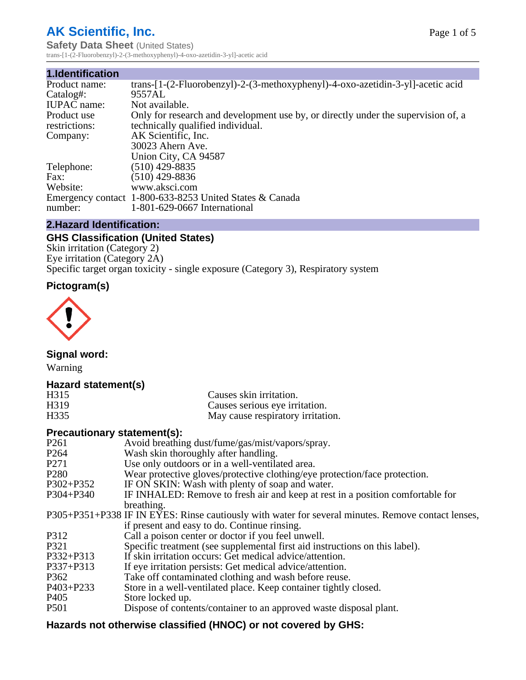# **AK Scientific, Inc.**

**Safety Data Sheet (United States)** trans-[1-(2-Fluorobenzyl)-2-(3-methoxyphenyl)-4-oxo-azetidin-3-yl]-acetic acid

#### **1.Identification**

| Product name:      | trans- $[1-(2-Fluorobenzyl)-2-(3-methoxyphenyl)-4-oxo-azetidin-3-y]$ -acetic acid |
|--------------------|-----------------------------------------------------------------------------------|
| Catalog#:          | 9557AL                                                                            |
| <b>IUPAC</b> name: | Not available.                                                                    |
| Product use        | Only for research and development use by, or directly under the supervision of, a |
| restrictions:      | technically qualified individual.                                                 |
| Company:           | AK Scientific, Inc.                                                               |
|                    | 30023 Ahern Ave.                                                                  |
|                    | Union City, CA 94587                                                              |
| Telephone:         | $(510)$ 429-8835                                                                  |
| Fax:               | $(510)$ 429-8836                                                                  |
| Website:           | www.aksci.com                                                                     |
|                    | Emergency contact 1-800-633-8253 United States & Canada                           |
| number:            | 1-801-629-0667 International                                                      |

## **2.Hazard Identification:**

# **GHS Classification (United States)**

Skin irritation (Category 2) Eye irritation (Category 2A) Specific target organ toxicity - single exposure (Category 3), Respiratory system

### **Pictogram(s)**



**Signal word:**

Warning

## **Hazard statement(s)**

| H <sub>315</sub>  | Causes skin irritation.           |
|-------------------|-----------------------------------|
| H <sub>3</sub> 19 | Causes serious eye irritation.    |
| H335              | May cause respiratory irritation. |

#### **Precautionary statement(s):**

| P <sub>261</sub> | Avoid breathing dust/fume/gas/mist/vapors/spray.                                                   |
|------------------|----------------------------------------------------------------------------------------------------|
| P <sub>264</sub> | Wash skin thoroughly after handling.                                                               |
| P <sub>271</sub> | Use only outdoors or in a well-ventilated area.                                                    |
| P <sub>280</sub> | Wear protective gloves/protective clothing/eye protection/face protection.                         |
| P302+P352        | IF ON SKIN: Wash with plenty of soap and water.                                                    |
| $P304 + P340$    | IF INHALED: Remove to fresh air and keep at rest in a position comfortable for                     |
|                  | breathing.                                                                                         |
|                  | P305+P351+P338 IF IN EYES: Rinse cautiously with water for several minutes. Remove contact lenses, |
|                  | if present and easy to do. Continue rinsing.                                                       |
| P312             | Call a poison center or doctor if you feel unwell.                                                 |
| P321             | Specific treatment (see supplemental first aid instructions on this label).                        |
| P332+P313        | If skin irritation occurs: Get medical advice/attention.                                           |
| P337+P313        | If eye irritation persists: Get medical advice/attention.                                          |
| P362             | Take off contaminated clothing and wash before reuse.                                              |
| $P403 + P233$    | Store in a well-ventilated place. Keep container tightly closed.                                   |
| P <sub>405</sub> | Store locked up.                                                                                   |
| P <sub>501</sub> | Dispose of contents/container to an approved waste disposal plant.                                 |
|                  |                                                                                                    |

# **Hazards not otherwise classified (HNOC) or not covered by GHS:**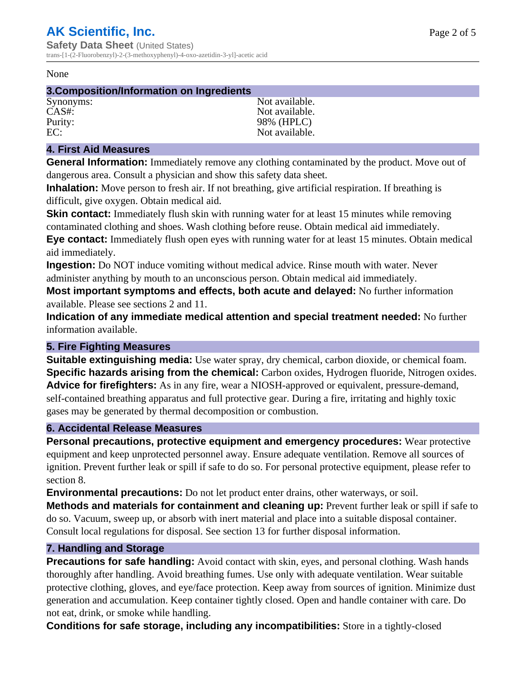#### None

#### **3.Composition/Information on Ingredients**

Synonyms: Not available. CAS#: Not available. Purity: 98% (HPLC) EC: Not available.

### **4. First Aid Measures**

**General Information:** Immediately remove any clothing contaminated by the product. Move out of dangerous area. Consult a physician and show this safety data sheet.

**Inhalation:** Move person to fresh air. If not breathing, give artificial respiration. If breathing is difficult, give oxygen. Obtain medical aid.

**Skin contact:** Immediately flush skin with running water for at least 15 minutes while removing contaminated clothing and shoes. Wash clothing before reuse. Obtain medical aid immediately. **Eye contact:** Immediately flush open eyes with running water for at least 15 minutes. Obtain medical aid immediately.

**Ingestion:** Do NOT induce vomiting without medical advice. Rinse mouth with water. Never administer anything by mouth to an unconscious person. Obtain medical aid immediately.

**Most important symptoms and effects, both acute and delayed:** No further information available. Please see sections 2 and 11.

**Indication of any immediate medical attention and special treatment needed:** No further information available.

#### **5. Fire Fighting Measures**

**Suitable extinguishing media:** Use water spray, dry chemical, carbon dioxide, or chemical foam. **Specific hazards arising from the chemical:** Carbon oxides, Hydrogen fluoride, Nitrogen oxides. **Advice for firefighters:** As in any fire, wear a NIOSH-approved or equivalent, pressure-demand, self-contained breathing apparatus and full protective gear. During a fire, irritating and highly toxic gases may be generated by thermal decomposition or combustion.

#### **6. Accidental Release Measures**

**Personal precautions, protective equipment and emergency procedures:** Wear protective equipment and keep unprotected personnel away. Ensure adequate ventilation. Remove all sources of ignition. Prevent further leak or spill if safe to do so. For personal protective equipment, please refer to section 8.

**Environmental precautions:** Do not let product enter drains, other waterways, or soil.

**Methods and materials for containment and cleaning up:** Prevent further leak or spill if safe to do so. Vacuum, sweep up, or absorb with inert material and place into a suitable disposal container. Consult local regulations for disposal. See section 13 for further disposal information.

#### **7. Handling and Storage**

**Precautions for safe handling:** Avoid contact with skin, eyes, and personal clothing. Wash hands thoroughly after handling. Avoid breathing fumes. Use only with adequate ventilation. Wear suitable protective clothing, gloves, and eye/face protection. Keep away from sources of ignition. Minimize dust generation and accumulation. Keep container tightly closed. Open and handle container with care. Do not eat, drink, or smoke while handling.

**Conditions for safe storage, including any incompatibilities:** Store in a tightly-closed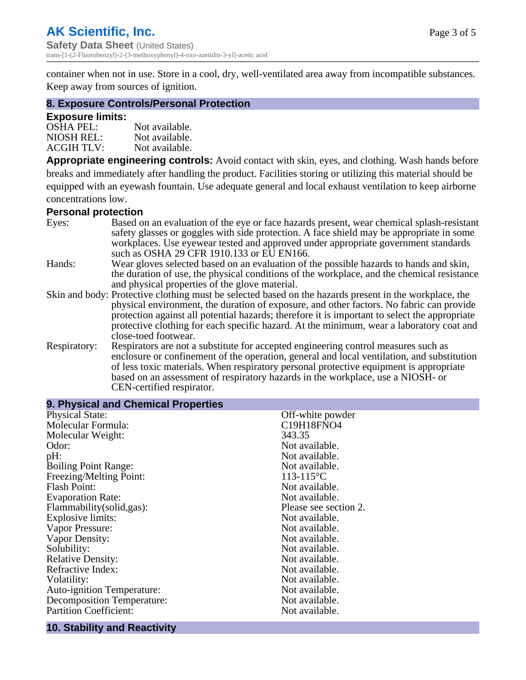container when not in use. Store in a cool, dry, well-ventilated area away from incompatible substances. Keep away from sources of ignition.

#### **8. Exposure Controls/Personal Protection**

#### **Exposure limits:**

| $OSHA$ PEL:       | Not available. |
|-------------------|----------------|
| NIOSH REL:        | Not available. |
| <b>ACGIH TLV:</b> | Not available. |

**Appropriate engineering controls:** Avoid contact with skin, eyes, and clothing. Wash hands before breaks and immediately after handling the product. Facilities storing or utilizing this material should be equipped with an eyewash fountain. Use adequate general and local exhaust ventilation to keep airborne concentrations low.

#### **Personal protection**

| Eyes:        | Based on an evaluation of the eye or face hazards present, wear chemical splash-resistant<br>safety glasses or goggles with side protection. A face shield may be appropriate in some |  |  |
|--------------|---------------------------------------------------------------------------------------------------------------------------------------------------------------------------------------|--|--|
|              | workplaces. Use eyewear tested and approved under appropriate government standards<br>such as OSHA 29 CFR 1910.133 or EU EN166.                                                       |  |  |
| Hands:       | Wear gloves selected based on an evaluation of the possible hazards to hands and skin,                                                                                                |  |  |
|              | the duration of use, the physical conditions of the workplace, and the chemical resistance                                                                                            |  |  |
|              | and physical properties of the glove material.                                                                                                                                        |  |  |
|              | Skin and body: Protective clothing must be selected based on the hazards present in the workplace, the                                                                                |  |  |
|              | physical environment, the duration of exposure, and other factors. No fabric can provide                                                                                              |  |  |
|              | protection against all potential hazards; therefore it is important to select the appropriate                                                                                         |  |  |
|              | protective clothing for each specific hazard. At the minimum, wear a laboratory coat and                                                                                              |  |  |
|              | close-toed footwear.                                                                                                                                                                  |  |  |
| Respiratory: | Respirators are not a substitute for accepted engineering control measures such as<br>enclosure or confinement of the operation, general and local ventilation, and substitution      |  |  |
|              | of less toxic materials. When respiratory personal protective equipment is appropriate                                                                                                |  |  |
|              | based on an assessment of respiratory hazards in the workplace, use a NIOSH- or                                                                                                       |  |  |
|              | CEN-certified respirator.                                                                                                                                                             |  |  |
|              |                                                                                                                                                                                       |  |  |

| <b>Physical State:</b><br>Off-white powder<br>Molecular Formula:<br>C19H18FNO4<br>Molecular Weight:<br>343.35<br>Odor:<br>Not available.<br>Not available.<br>pH:<br><b>Boiling Point Range:</b><br>Not available.<br>Freezing/Melting Point:<br>$113 - 115$ °C<br><b>Flash Point:</b><br>Not available. | 9. Physical and Chemical Properties |                |
|----------------------------------------------------------------------------------------------------------------------------------------------------------------------------------------------------------------------------------------------------------------------------------------------------------|-------------------------------------|----------------|
|                                                                                                                                                                                                                                                                                                          |                                     |                |
|                                                                                                                                                                                                                                                                                                          |                                     |                |
|                                                                                                                                                                                                                                                                                                          |                                     |                |
|                                                                                                                                                                                                                                                                                                          |                                     |                |
|                                                                                                                                                                                                                                                                                                          |                                     |                |
|                                                                                                                                                                                                                                                                                                          |                                     |                |
|                                                                                                                                                                                                                                                                                                          |                                     |                |
|                                                                                                                                                                                                                                                                                                          |                                     |                |
|                                                                                                                                                                                                                                                                                                          | <b>Evaporation Rate:</b>            | Not available. |
| Flammability(solid,gas):<br>Please see section 2.                                                                                                                                                                                                                                                        |                                     |                |
| Explosive limits:<br>Not available.                                                                                                                                                                                                                                                                      |                                     |                |
| Vapor Pressure:<br>Not available.                                                                                                                                                                                                                                                                        |                                     |                |
| Vapor Density:<br>Not available.                                                                                                                                                                                                                                                                         |                                     |                |
| Solubility:<br>Not available.                                                                                                                                                                                                                                                                            |                                     |                |
| <b>Relative Density:</b><br>Not available.                                                                                                                                                                                                                                                               |                                     |                |
| Refractive Index:<br>Not available.                                                                                                                                                                                                                                                                      |                                     |                |
| Not available.<br>Volatility:                                                                                                                                                                                                                                                                            |                                     |                |
| Not available.<br>Auto-ignition Temperature:                                                                                                                                                                                                                                                             |                                     |                |
| <b>Decomposition Temperature:</b><br>Not available.                                                                                                                                                                                                                                                      |                                     |                |
| <b>Partition Coefficient:</b><br>Not available.                                                                                                                                                                                                                                                          |                                     |                |

## **10. Stability and Reactivity**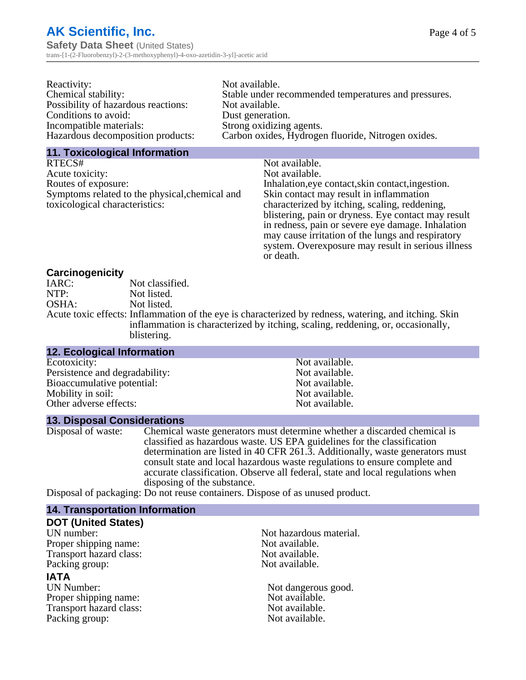# **AK Scientific, Inc. Safety Data Sheet** (United States)

trans-[1-(2-Fluorobenzyl)-2-(3-methoxyphenyl)-4-oxo-azetidin-3-yl]-acetic acid

| Reactivity:                         | Not available.                                       |
|-------------------------------------|------------------------------------------------------|
| Chemical stability:                 | Stable under recommended temperatures and pressures. |
| Possibility of hazardous reactions: | Not available.                                       |
| Conditions to avoid:                | Dust generation.                                     |
| Incompatible materials:             | Strong oxidizing agents.                             |
| Hazardous decomposition products:   | Carbon oxides, Hydrogen fluoride, Nitrogen oxides.   |

#### **11. Toxicological Information**

| RTECS#                                         | Not available.                                      |
|------------------------------------------------|-----------------------------------------------------|
| Acute toxicity:                                | Not available.                                      |
| Routes of exposure:                            | Inhalation, eye contact, skin contact, ingestion.   |
| Symptoms related to the physical, chemical and | Skin contact may result in inflammation             |
| toxicological characteristics:                 | characterized by itching, scaling, reddening,       |
|                                                | blistering, pain or dryness. Eye contact may result |
|                                                | in redness, pain or severe eye damage. Inhalation   |
|                                                | may cause irritation of the lungs and respiratory   |
|                                                | system. Overexposure may result in serious illness  |

or death.

### **Carcinogenicity**

| IARC: | Not classified.                                                                                       |
|-------|-------------------------------------------------------------------------------------------------------|
| NTP:  | Not listed.                                                                                           |
| OSHA: | Not listed.                                                                                           |
|       | Acute toxic effects: Inflammation of the eye is characterized by redness, watering, and itching. Skin |
|       | inflammation is characterized by itching, scaling, reddening, or, occasionally,                       |
|       | blistering.                                                                                           |

| <b>12. Ecological Information</b> |                |  |
|-----------------------------------|----------------|--|
| Ecotoxicity:                      | Not available. |  |
| Persistence and degradability:    | Not available. |  |
| Bioaccumulative potential:        | Not available. |  |
| Mobility in soil:                 | Not available. |  |
| Other adverse effects:            | Not available. |  |

#### **13. Disposal Considerations**

Disposal of waste: Chemical waste generators must determine whether a discarded chemical is classified as hazardous waste. US EPA guidelines for the classification determination are listed in 40 CFR 261.3. Additionally, waste generators must consult state and local hazardous waste regulations to ensure complete and accurate classification. Observe all federal, state and local regulations when disposing of the substance.

Disposal of packaging: Do not reuse containers. Dispose of as unused product.

| <b>14. Transportation Information</b> |                         |
|---------------------------------------|-------------------------|
| <b>DOT (United States)</b>            |                         |
| UN number:                            | Not hazardous material. |
| Proper shipping name:                 | Not available.          |
| Transport hazard class:               | Not available.          |
| Packing group:                        | Not available.          |
| <b>IATA</b>                           |                         |
| <b>UN Number:</b>                     | Not dangerous good.     |
| Proper shipping name:                 | Not available.          |
| Transport hazard class:               | Not available.          |
| Packing group:                        | Not available.          |
|                                       |                         |